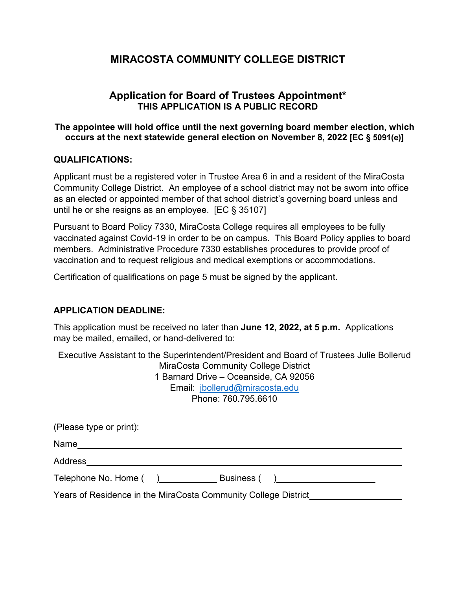# **Application for Board of Trustees Appointment\* THIS APPLICATION IS A PUBLIC RECORD**

### **The appointee will hold office until the next governing board member election, which occurs at the next statewide general election on November 8, 2022 [EC § 5091(e)]**

#### **QUALIFICATIONS:**

Applicant must be a registered voter in Trustee Area 6 in and a resident of the MiraCosta Community College District. An employee of a school district may not be sworn into office as an elected or appointed member of that school district's governing board unless and until he or she resigns as an employee. [EC § 35107]

Pursuant to Board Policy 7330, MiraCosta College requires all employees to be fully vaccinated against Covid-19 in order to be on campus. This Board Policy applies to board members. Administrative Procedure 7330 establishes procedures to provide proof of vaccination and to request religious and medical exemptions or accommodations.

Certification of qualifications on page 5 must be signed by the applicant.

### **APPLICATION DEADLINE:**

This application must be received no later than **June 12, 2022, at 5 p.m.** Applications may be mailed, emailed, or hand-delivered to:

Executive Assistant to the Superintendent/President and Board of Trustees Julie Bollerud MiraCosta Community College District 1 Barnard Drive – Oceanside, CA 92056 Email: [jbollerud@miracosta.edu](mailto:jbollerud@miracosta.edu) Phone: 760.795.6610

| (Please type or print):                                        |              |  |
|----------------------------------------------------------------|--------------|--|
| Name                                                           |              |  |
| Address                                                        |              |  |
| Telephone No. Home ()                                          | Business ( ) |  |
| Years of Residence in the MiraCosta Community College District |              |  |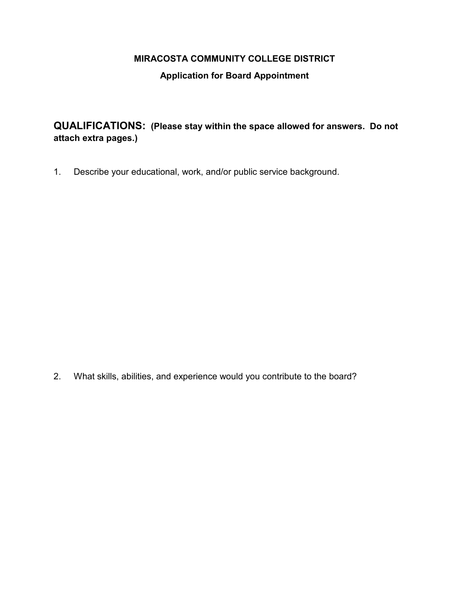### **Application for Board Appointment**

**QUALIFICATIONS: (Please stay within the space allowed for answers. Do not attach extra pages.)**

1. Describe your educational, work, and/or public service background.

2. What skills, abilities, and experience would you contribute to the board?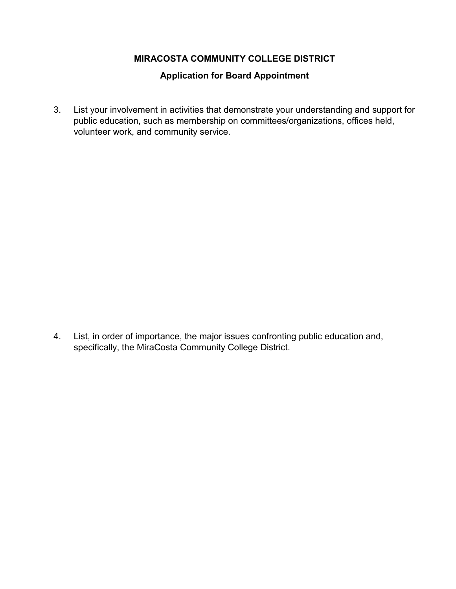# **Application for Board Appointment**

3. List your involvement in activities that demonstrate your understanding and support for public education, such as membership on committees/organizations, offices held, volunteer work, and community service.

4. List, in order of importance, the major issues confronting public education and, specifically, the MiraCosta Community College District.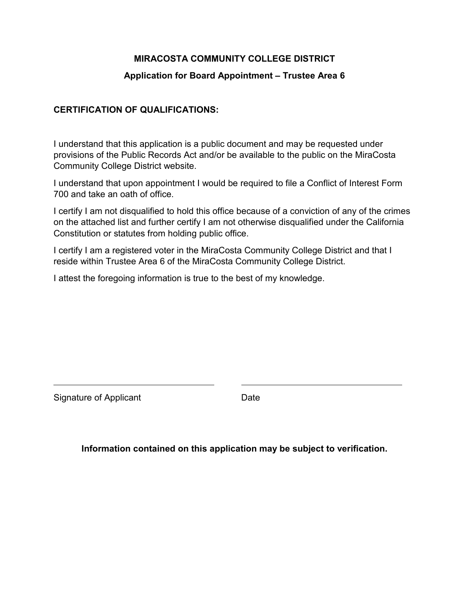### **Application for Board Appointment – Trustee Area 6**

#### **CERTIFICATION OF QUALIFICATIONS:**

I understand that this application is a public document and may be requested under provisions of the Public Records Act and/or be available to the public on the MiraCosta Community College District website.

I understand that upon appointment I would be required to file a Conflict of Interest Form 700 and take an oath of office.

I certify I am not disqualified to hold this office because of a conviction of any of the crimes on the attached list and further certify I am not otherwise disqualified under the California Constitution or statutes from holding public office.

I certify I am a registered voter in the MiraCosta Community College District and that I reside within Trustee Area 6 of the MiraCosta Community College District.

I attest the foregoing information is true to the best of my knowledge.

Signature of Applicant **Date** Date

**Information contained on this application may be subject to verification.**